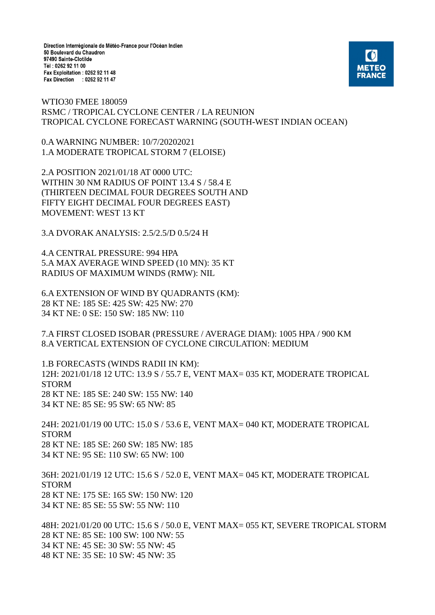Direction Interrégionale de Météo-France pour l'Océan Indien 50 Boulevard du Chaudron 97490 Sainte-Clotilde Tél: 0262 92 11 00 Fax Exploitation : 0262 92 11 48 Fax Direction : 0262 92 11 47



WTIO30 FMEE 180059 RSMC / TROPICAL CYCLONE CENTER / LA REUNION TROPICAL CYCLONE FORECAST WARNING (SOUTH-WEST INDIAN OCEAN)

0.A WARNING NUMBER: 10/7/20202021 1.A MODERATE TROPICAL STORM 7 (ELOISE)

2.A POSITION 2021/01/18 AT 0000 UTC: WITHIN 30 NM RADIUS OF POINT 13.4 S / 58.4 E (THIRTEEN DECIMAL FOUR DEGREES SOUTH AND FIFTY EIGHT DECIMAL FOUR DEGREES EAST) MOVEMENT: WEST 13 KT

3.A DVORAK ANALYSIS: 2.5/2.5/D 0.5/24 H

4.A CENTRAL PRESSURE: 994 HPA 5.A MAX AVERAGE WIND SPEED (10 MN): 35 KT RADIUS OF MAXIMUM WINDS (RMW): NIL

6.A EXTENSION OF WIND BY QUADRANTS (KM): 28 KT NE: 185 SE: 425 SW: 425 NW: 270 34 KT NE: 0 SE: 150 SW: 185 NW: 110

7.A FIRST CLOSED ISOBAR (PRESSURE / AVERAGE DIAM): 1005 HPA / 900 KM 8.A VERTICAL EXTENSION OF CYCLONE CIRCULATION: MEDIUM

1.B FORECASTS (WINDS RADII IN KM): 12H: 2021/01/18 12 UTC: 13.9 S / 55.7 E, VENT MAX= 035 KT, MODERATE TROPICAL STORM 28 KT NE: 185 SE: 240 SW: 155 NW: 140 34 KT NE: 85 SE: 95 SW: 65 NW: 85

24H: 2021/01/19 00 UTC: 15.0 S / 53.6 E, VENT MAX= 040 KT, MODERATE TROPICAL STORM 28 KT NE: 185 SE: 260 SW: 185 NW: 185 34 KT NE: 95 SE: 110 SW: 65 NW: 100

36H: 2021/01/19 12 UTC: 15.6 S / 52.0 E, VENT MAX= 045 KT, MODERATE TROPICAL STORM 28 KT NE: 175 SE: 165 SW: 150 NW: 120 34 KT NE: 85 SE: 55 SW: 55 NW: 110

48H: 2021/01/20 00 UTC: 15.6 S / 50.0 E, VENT MAX= 055 KT, SEVERE TROPICAL STORM 28 KT NE: 85 SE: 100 SW: 100 NW: 55 34 KT NE: 45 SE: 30 SW: 55 NW: 45 48 KT NE: 35 SE: 10 SW: 45 NW: 35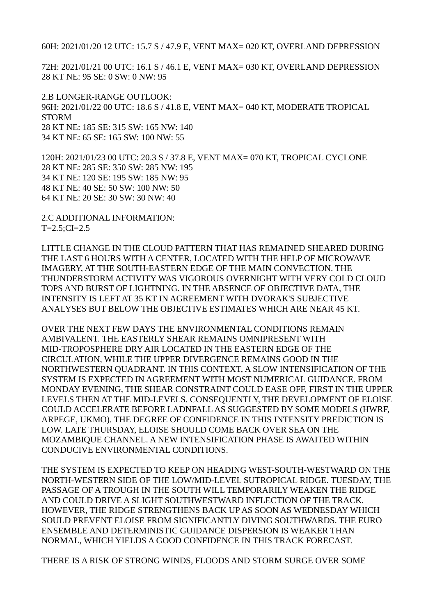60H: 2021/01/20 12 UTC: 15.7 S / 47.9 E, VENT MAX= 020 KT, OVERLAND DEPRESSION

72H: 2021/01/21 00 UTC: 16.1 S / 46.1 E, VENT MAX= 030 KT, OVERLAND DEPRESSION 28 KT NE: 95 SE: 0 SW: 0 NW: 95

2.B LONGER-RANGE OUTLOOK: 96H: 2021/01/22 00 UTC: 18.6 S / 41.8 E, VENT MAX= 040 KT, MODERATE TROPICAL STORM 28 KT NE: 185 SE: 315 SW: 165 NW: 140 34 KT NE: 65 SE: 165 SW: 100 NW: 55

120H: 2021/01/23 00 UTC: 20.3 S / 37.8 E, VENT MAX= 070 KT, TROPICAL CYCLONE 28 KT NE: 285 SE: 350 SW: 285 NW: 195 34 KT NE: 120 SE: 195 SW: 185 NW: 95 48 KT NE: 40 SE: 50 SW: 100 NW: 50 64 KT NE: 20 SE: 30 SW: 30 NW: 40

2.C ADDITIONAL INFORMATION:  $T=2.5$ ; $CI=2.5$ 

LITTLE CHANGE IN THE CLOUD PATTERN THAT HAS REMAINED SHEARED DURING THE LAST 6 HOURS WITH A CENTER, LOCATED WITH THE HELP OF MICROWAVE IMAGERY, AT THE SOUTH-EASTERN EDGE OF THE MAIN CONVECTION. THE THUNDERSTORM ACTIVITY WAS VIGOROUS OVERNIGHT WITH VERY COLD CLOUD TOPS AND BURST OF LIGHTNING. IN THE ABSENCE OF OBJECTIVE DATA, THE INTENSITY IS LEFT AT 35 KT IN AGREEMENT WITH DVORAK'S SUBJECTIVE ANALYSES BUT BELOW THE OBJECTIVE ESTIMATES WHICH ARE NEAR 45 KT.

OVER THE NEXT FEW DAYS THE ENVIRONMENTAL CONDITIONS REMAIN AMBIVALENT. THE EASTERLY SHEAR REMAINS OMNIPRESENT WITH MID-TROPOSPHERE DRY AIR LOCATED IN THE EASTERN EDGE OF THE CIRCULATION, WHILE THE UPPER DIVERGENCE REMAINS GOOD IN THE NORTHWESTERN QUADRANT. IN THIS CONTEXT, A SLOW INTENSIFICATION OF THE SYSTEM IS EXPECTED IN AGREEMENT WITH MOST NUMERICAL GUIDANCE. FROM MONDAY EVENING, THE SHEAR CONSTRAINT COULD EASE OFF, FIRST IN THE UPPER LEVELS THEN AT THE MID-LEVELS. CONSEQUENTLY, THE DEVELOPMENT OF ELOISE COULD ACCELERATE BEFORE LADNFALL AS SUGGESTED BY SOME MODELS (HWRF, ARPEGE, UKMO). THE DEGREE OF CONFIDENCE IN THIS INTENSITY PREDICTION IS LOW. LATE THURSDAY, ELOISE SHOULD COME BACK OVER SEA ON THE MOZAMBIQUE CHANNEL. A NEW INTENSIFICATION PHASE IS AWAITED WITHIN CONDUCIVE ENVIRONMENTAL CONDITIONS.

THE SYSTEM IS EXPECTED TO KEEP ON HEADING WEST-SOUTH-WESTWARD ON THE NORTH-WESTERN SIDE OF THE LOW/MID-LEVEL SUTROPICAL RIDGE. TUESDAY, THE PASSAGE OF A TROUGH IN THE SOUTH WILL TEMPORARILY WEAKEN THE RIDGE AND COULD DRIVE A SLIGHT SOUTHWESTWARD INFLECTION OF THE TRACK. HOWEVER, THE RIDGE STRENGTHENS BACK UP AS SOON AS WEDNESDAY WHICH SOULD PREVENT ELOISE FROM SIGNIFICANTLY DIVING SOUTHWARDS. THE EURO ENSEMBLE AND DETERMINISTIC GUIDANCE DISPERSION IS WEAKER THAN NORMAL, WHICH YIELDS A GOOD CONFIDENCE IN THIS TRACK FORECAST.

THERE IS A RISK OF STRONG WINDS, FLOODS AND STORM SURGE OVER SOME